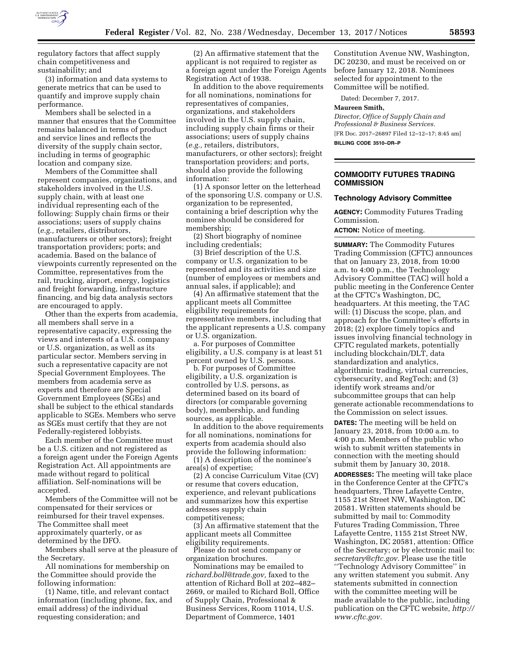

regulatory factors that affect supply chain competitiveness and sustainability; and

(3) information and data systems to generate metrics that can be used to quantify and improve supply chain performance.

Members shall be selected in a manner that ensures that the Committee remains balanced in terms of product and service lines and reflects the diversity of the supply chain sector, including in terms of geographic location and company size.

Members of the Committee shall represent companies, organizations, and stakeholders involved in the U.S. supply chain, with at least one individual representing each of the following: Supply chain firms or their associations; users of supply chains (*e.g.,* retailers, distributors, manufacturers or other sectors); freight transportation providers; ports; and academia. Based on the balance of viewpoints currently represented on the Committee, representatives from the rail, trucking, airport, energy, logistics and freight forwarding, infrastructure financing, and big data analysis sectors are encouraged to apply.

Other than the experts from academia, all members shall serve in a representative capacity, expressing the views and interests of a U.S. company or U.S. organization, as well as its particular sector. Members serving in such a representative capacity are not Special Government Employees. The members from academia serve as experts and therefore are Special Government Employees (SGEs) and shall be subject to the ethical standards applicable to SGEs. Members who serve as SGEs must certify that they are not Federally-registered lobbyists.

Each member of the Committee must be a U.S. citizen and not registered as a foreign agent under the Foreign Agents Registration Act. All appointments are made without regard to political affiliation. Self-nominations will be accepted.

Members of the Committee will not be compensated for their services or reimbursed for their travel expenses. The Committee shall meet approximately quarterly, or as determined by the DFO.

Members shall serve at the pleasure of the Secretary.

All nominations for membership on the Committee should provide the following information:

(1) Name, title, and relevant contact information (including phone, fax, and email address) of the individual requesting consideration; and

(2) An affirmative statement that the applicant is not required to register as a foreign agent under the Foreign Agents Registration Act of 1938.

In addition to the above requirements for all nominations, nominations for representatives of companies, organizations, and stakeholders involved in the U.S. supply chain, including supply chain firms or their associations; users of supply chains (*e.g.,* retailers, distributors, manufacturers, or other sectors); freight transportation providers; and ports, should also provide the following information:

(1) A sponsor letter on the letterhead of the sponsoring U.S. company or U.S. organization to be represented, containing a brief description why the nominee should be considered for membership;

(2) Short biography of nominee including credentials;

(3) Brief description of the U.S. company or U.S. organization to be represented and its activities and size (number of employees or members and annual sales, if applicable); and

(4) An affirmative statement that the applicant meets all Committee eligibility requirements for representative members, including that the applicant represents a U.S. company or U.S. organization.

a. For purposes of Committee eligibility, a U.S. company is at least 51 percent owned by U.S. persons.

b. For purposes of Committee eligibility, a U.S. organization is controlled by U.S. persons, as determined based on its board of directors (or comparable governing body), membership, and funding sources, as applicable.

In addition to the above requirements for all nominations, nominations for experts from academia should also provide the following information:

(1) A description of the nominee's area(s) of expertise;

(2) A concise Curriculum Vitae (CV) or resume that covers education, experience, and relevant publications and summarizes how this expertise addresses supply chain competitiveness;

(3) An affirmative statement that the applicant meets all Committee eligibility requirements.

Please do not send company or organization brochures.

Nominations may be emailed to *[richard.boll@trade.gov,](mailto:richard.boll@trade.gov)* faxed to the attention of Richard Boll at 202–482– 2669, or mailed to Richard Boll, Office of Supply Chain, Professional & Business Services, Room 11014, U.S. Department of Commerce, 1401

Constitution Avenue NW, Washington, DC 20230, and must be received on or before January 12, 2018. Nominees selected for appointment to the Committee will be notified.

Dated: December 7, 2017.

#### **Maureen Smith,**

**COMMISSION** 

*Director, Office of Supply Chain and Professional & Business Services.*  [FR Doc. 2017–26897 Filed 12–12–17; 8:45 am] **BILLING CODE 3510–DR–P** 

**COMMODITY FUTURES TRADING** 

# **Technology Advisory Committee**

**AGENCY:** Commodity Futures Trading Commission.

**ACTION:** Notice of meeting.

**SUMMARY:** The Commodity Futures Trading Commission (CFTC) announces that on January 23, 2018, from 10:00 a.m. to 4:00 p.m., the Technology Advisory Committee (TAC) will hold a public meeting in the Conference Center at the CFTC's Washington, DC, headquarters. At this meeting, the TAC will: (1) Discuss the scope, plan, and approach for the Committee's efforts in 2018; (2) explore timely topics and issues involving financial technology in CFTC regulated markets, potentially including blockchain/DLT, data standardization and analytics, algorithmic trading, virtual currencies, cybersecurity, and RegTech; and (3) identify work streams and/or subcommittee groups that can help generate actionable recommendations to the Commission on select issues.

**DATES:** The meeting will be held on January 23, 2018, from 10:00 a.m. to 4:00 p.m. Members of the public who wish to submit written statements in connection with the meeting should submit them by January 30, 2018.

**ADDRESSES:** The meeting will take place in the Conference Center at the CFTC's headquarters, Three Lafayette Centre, 1155 21st Street NW, Washington, DC 20581. Written statements should be submitted by mail to: Commodity Futures Trading Commission, Three Lafayette Centre, 1155 21st Street NW, Washington, DC 20581, attention: Office of the Secretary; or by electronic mail to: *[secretary@cftc.gov.](mailto:secretary@cftc.gov)* Please use the title ''Technology Advisory Committee'' in any written statement you submit. Any statements submitted in connection with the committee meeting will be made available to the public, including publication on the CFTC website, *[http://](http://www.cftc.gov) [www.cftc.gov.](http://www.cftc.gov)*